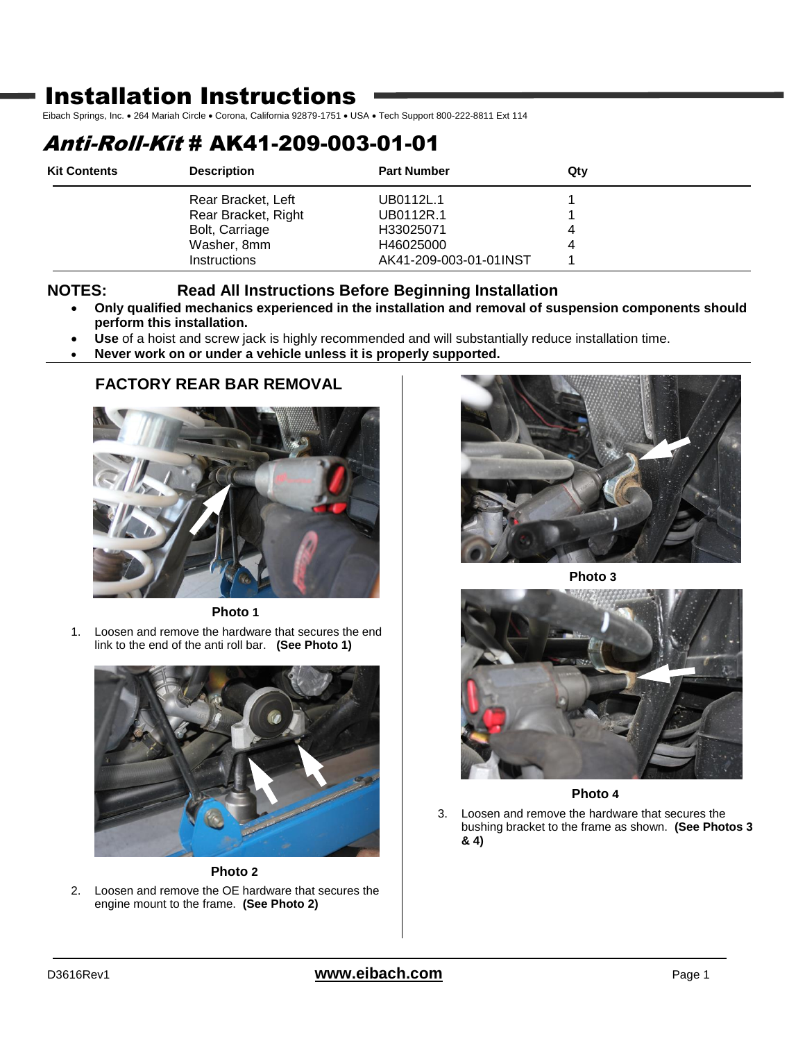## Installation Instructions

Eibach Springs, Inc. . 264 Mariah Circle . Corona, California 92879-1751 . USA . Tech Support 800-222-8811 Ext 114

## Anti-Roll-Kit # AK41-209-003-01-01

| <b>Kit Contents</b> | <b>Description</b>  | <b>Part Number</b>     | Qty |
|---------------------|---------------------|------------------------|-----|
|                     | Rear Bracket, Left  | UB0112L.1              |     |
|                     | Rear Bracket, Right | UB0112R.1              |     |
|                     | Bolt, Carriage      | H33025071              | 4   |
|                     | Washer, 8mm         | H46025000              | 4   |
|                     | <b>Instructions</b> | AK41-209-003-01-01INST |     |

## **NOTES: Read All Instructions Before Beginning Installation**

- **Only qualified mechanics experienced in the installation and removal of suspension components should perform this installation.**
- **Use** of a hoist and screw jack is highly recommended and will substantially reduce installation time.
- **Never work on or under a vehicle unless it is properly supported.**

## **FACTORY REAR BAR REMOVAL**



**Photo 1**

1. Loosen and remove the hardware that secures the end link to the end of the anti roll bar. **(See Photo 1)**



**Photo 2**

2. Loosen and remove the OE hardware that secures the engine mount to the frame. **(See Photo 2)**



**Photo 3**



**Photo 4**

3. Loosen and remove the hardware that secures the bushing bracket to the frame as shown. **(See Photos 3 & 4)**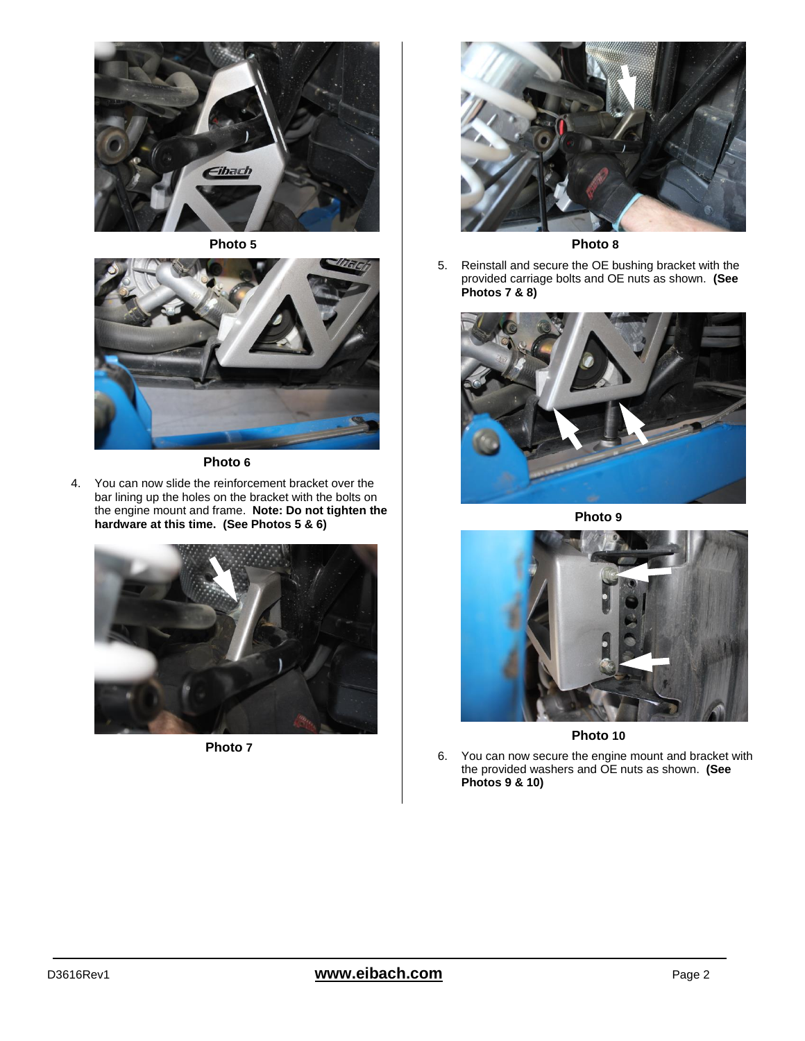





**Photo 6**

4. You can now slide the reinforcement bracket over the bar lining up the holes on the bracket with the bolts on the engine mount and frame. **Note: Do not tighten the hardware at this time. (See Photos 5 & 6)**



**Photo 7**



**Photo 8**

5. Reinstall and secure the OE bushing bracket with the provided carriage bolts and OE nuts as shown. **(See Photos 7 & 8)**



**Photo 9**



**Photo 10**

6. You can now secure the engine mount and bracket with the provided washers and OE nuts as shown. **(See Photos 9 & 10)**